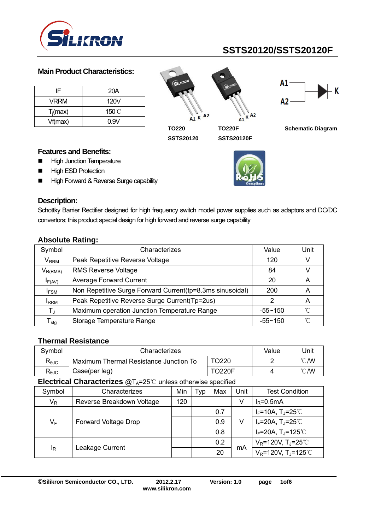

#### **Main Product Characteristics:**

| IF          | 20A   |
|-------------|-------|
| VRRM        | 120V  |
| $T_i$ (max) | 150°C |
| Vf(max)     | 0.9V  |

 $A1 K A2$ K  $\mathbf{A}$ <sup>1</sup> **TO220 TO220F** 

**SSTS20120** 



**SSTS20120F** 



**Schematic Diagram** 

#### **Features and Benefits:**

- **High Junction Temperature**
- **High ESD Protection**
- High Forward & Reverse Surge capability



 $A<sub>2</sub>$ 

# **Description:**

Schottky Barrier Rectifier designed for high frequency switch model power supplies such as adaptors and DC/DC convertors; this product special design for high forward and reverse surge capability

| Symbol                           | Characterizes                                              | Value       | Unit |
|----------------------------------|------------------------------------------------------------|-------------|------|
| $\mathsf{V}_{\mathsf{RRM}}$      | Peak Repetitive Reverse Voltage                            | 120         |      |
| $V_{R(RMS)}$                     | <b>RMS Reverse Voltage</b>                                 | 84          |      |
| $I_{F(AV)}$                      | <b>Average Forward Current</b>                             | 20          | A    |
| <b>IFSM</b>                      | Non Repetitive Surge Forward Current (tp=8.3ms sinusoidal) | 200         | Α    |
| <b>I</b> RRM                     | Peak Repetitive Reverse Surge Current(Tp=2us)              | 2           | A    |
| $T_{J}$                          | Maximum operation Junction Temperature Range               | $-55 - 150$ | °∩   |
| $\mathsf{\Gamma}_{\mathsf{stg}}$ | Storage Temperature Range                                  | $-55 - 150$ | °∩°  |

### **Absolute Rating:**

#### **Thermal Resistance**

| Symbol                         | Characterizes                          | Value | Unit           |  |  |
|--------------------------------|----------------------------------------|-------|----------------|--|--|
| $R_{\theta$ JC                 | Maximum Thermal Resistance Junction To |       | $^{\circ}$ C/W |  |  |
| $\mathsf{R}_{\theta\text{JC}}$ | Case(per leg)                          |       | $\degree$ C/W  |  |  |
|                                |                                        |       |                |  |  |

**Electrical Characterizes @T<sub>A</sub>=25 ℃** unless otherwise specified

| Symbol                  | Characterizes               | Min | Typ | Max | Unit    | <b>Test Condition</b>                          |
|-------------------------|-----------------------------|-----|-----|-----|---------|------------------------------------------------|
| $\mathsf{V}_\mathsf{R}$ | Reverse Breakdown Voltage   | 120 |     |     | V       | $I_R = 0.5mA$                                  |
|                         |                             |     |     | 0.7 |         | $I_F = 10A$ , $T_J = 25^{\circ}$               |
| $V_F$                   | <b>Forward Voltage Drop</b> |     |     | 0.9 | V<br>mA | $I_F = 20A$ , T <sub>J</sub> =25°C             |
|                         |                             |     |     | 0.8 |         | $I_F = 20A$ , T <sub>J</sub> =125°C            |
| ΙŖ                      | Leakage Current             |     |     | 0.2 |         | $V_R$ =120V, T <sub>J</sub> =25 <sup>°</sup> C |
|                         |                             |     |     | 20  |         | $V_R$ =120V, T <sub>J</sub> =125℃              |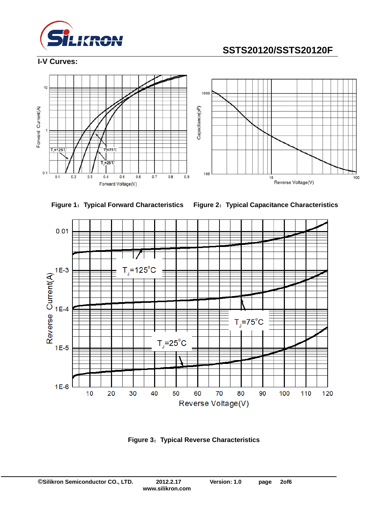

#### **I-V Curves:**







**Figure 1**:**Typical Forward Characteristics Figure 2**:**Typical Capacitance Characteristics** 



**Figure 3**:**Typical Reverse Characteristics**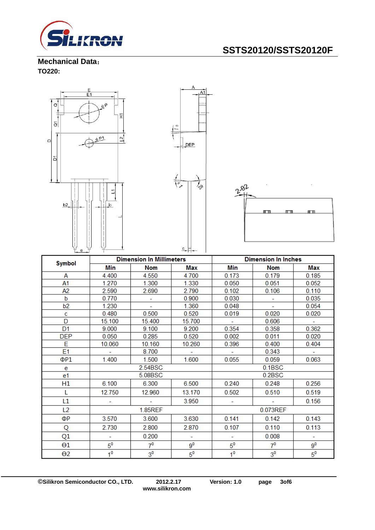

**Mechanical Data**: **TO220:** 



| <b>Symbol</b>  | <b>Dimension In Millimeters</b> |                |             | <b>Dimension In Inches</b> |                          |                |
|----------------|---------------------------------|----------------|-------------|----------------------------|--------------------------|----------------|
|                | Min                             | <b>Nom</b>     | <b>Max</b>  | Min                        | <b>Nom</b>               | Max            |
| А              | 4.400                           | 4.550          | 4.700       | 0.173                      | 0.179                    | 0.185          |
| Α1             | 1.270                           | 1.300          | 1.330       | 0.050                      | 0.051                    | 0.052          |
| A2             | 2.590                           | 2.690          | 2.790       | 0.102                      | 0.106                    | 0.110          |
| b              | 0.770                           |                | 0.900       | 0.030                      |                          | 0.035          |
| b2             | 1.230                           | ÷              | 1.360       | 0.048                      | $\overline{\phantom{a}}$ | 0.054          |
| c              | 0.480                           | 0.500          | 0.520       | 0.019                      | 0.020                    | 0.020          |
| D              | 15.100                          | 15.400         | 15.700      |                            | 0.606                    |                |
| D <sub>1</sub> | 9.000                           | 9.100          | 9.200       | 0.354                      | 0.358                    | 0.362          |
| <b>DEP</b>     | 0.050                           | 0.285          | 0.520       | 0.002                      | 0.011                    | 0.020          |
| E              | 10.060                          | 10.160         | 10.260      | 0.396                      | 0.400                    | 0.404          |
| E1             |                                 | 8.700          |             |                            | 0.343                    |                |
| ΦP1            | 1.400                           | 1.500          | 1.600       | 0.055                      | 0.059                    | 0.063          |
| e              | 2.54BSC                         |                | 0.1BSC      |                            |                          |                |
| e1             |                                 | 5.08BSC        |             | 0.2BSC                     |                          |                |
| H1             | 6.100                           | 6.300          | 6.500       | 0.240                      | 0.248                    | 0.256          |
| L              | 12.750                          | 12.960         | 13.170      | 0.502                      | 0.510                    | 0.519          |
| L1             |                                 |                | 3.950       |                            |                          | 0.156          |
| L <sub>2</sub> | 1.85REF                         |                |             | 0.073REF                   |                          |                |
| ΦР             | 3.570                           | 3.600          | 3.630       | 0.141                      | 0.142                    | 0.143          |
| Q              | 2.730                           | 2.800          | 2.870       | 0.107                      | 0.110                    | 0.113          |
| Q1             |                                 | 0.200          | ÷           |                            | 0.008                    | $\blacksquare$ |
| θ1             | $5^{\mathsf{o}}$                | $7^0$          | $9^0$       | $5^{\circ}$                | 7 <sup>0</sup>           | $9^0$          |
| $\Theta$ 2     | 1 <sup>0</sup>                  | 3 <sup>0</sup> | $5^{\circ}$ | $1^0$                      | 3 <sup>0</sup>           | $5^{\circ}$    |

**©Silikron Semiconductor CO., LTD. 2012.2.17 Version: 1.0 page 3of6**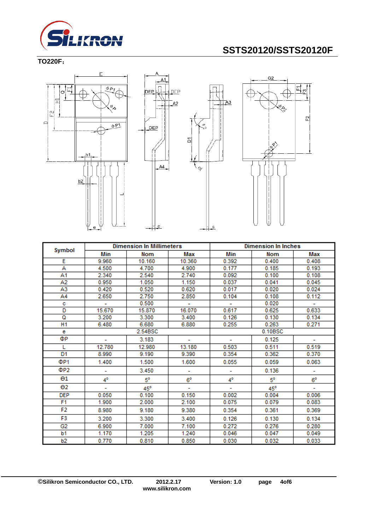

### **TO220F**:





DEP



|                       | <b>Dimension In Millimeters</b> |         | <b>Dimension In Inches</b> |         |            |                             |
|-----------------------|---------------------------------|---------|----------------------------|---------|------------|-----------------------------|
| Symbol                | Min                             | Nom     | Max                        | Min     | <b>Nom</b> | Max                         |
| Ε                     | 9.960                           | 10.160  | 10.360                     | 0.392   | 0.400      | 0.408                       |
| А                     | 4.500                           | 4.700   | 4.900                      | 0.177   | 0.185      | 0.193                       |
| A1                    | 2.340                           | 2.540   | 2.740                      | 0.092   | 0.100      | 0.108                       |
| A2                    | 0.950                           | 1.050   | 1.150                      | 0.037   | 0.041      | 0.045                       |
| A3                    | 0.420                           | 0.520   | 0.620                      | 0.017   | 0.020      | 0.024                       |
| A4                    | 2.650                           | 2.750   | 2.850                      | 0.104   | 0.108      | 0.112                       |
| c                     | $\overline{\phantom{a}}$        | 0.500   | ۰                          |         | 0.020      | $\mathcal{L}_{\mathcal{A}}$ |
| D                     | 15.670                          | 15.870  | 16.070                     | 0.617   | 0.625      | 0.633                       |
| Q                     | 3.200                           | 3.300   | 3.400                      | 0.126   | 0.130      | 0.134                       |
| H <sub>1</sub>        | 6.480                           | 6.680   | 6.880                      | 0.255   | 0.263      | 0.271                       |
| e                     |                                 | 2.54BSC |                            | 0.10BSC |            |                             |
| ФР                    |                                 | 3.183   |                            |         | 0.125      |                             |
| L                     | 12.780                          | 12.980  | 13.180                     | 0.503   | 0.511      | 0.519                       |
| D1                    | 8.990                           | 9.190   | 9.390                      | 0.354   | 0.362      | 0.370                       |
| ΦP <sub>1</sub>       | 1.400                           | 1.500   | 1.600                      | 0.055   | 0.059      | 0.063                       |
| ΦP2                   | ۰                               | 3.450   | ۰                          | ۰       | 0.136      | ۰                           |
| $\Theta$ 1            | 4°                              | 5°      | $6^{\circ}$                | 4°      | 5°         | $6^{\circ}$                 |
| $\Theta$ <sub>2</sub> | ۰                               | 45°     | ۰                          | ٠       | $45^\circ$ | ٠                           |
| <b>DEP</b>            | 0.050                           | 0.100   | 0.150                      | 0.002   | 0.004      | 0.006                       |
| F <sub>1</sub>        | 1.900                           | 2.000   | 2.100                      | 0.075   | 0.079      | 0.083                       |
| F2                    | 8.980                           | 9.180   | 9.380                      | 0.354   | 0.361      | 0.369                       |
| F3                    | 3.200                           | 3.300   | 3.400                      | 0.126   | 0.130      | 0.134                       |
| G <sub>2</sub>        | 6.900                           | 7.000   | 7.100                      | 0.272   | 0.276      | 0.280                       |
| b1                    | 1.170                           | 1.205   | 1.240                      | 0.046   | 0.047      | 0.049                       |
| b2                    | 0.770                           | 0.810   | 0.850                      | 0.030   | 0.032      | 0.033                       |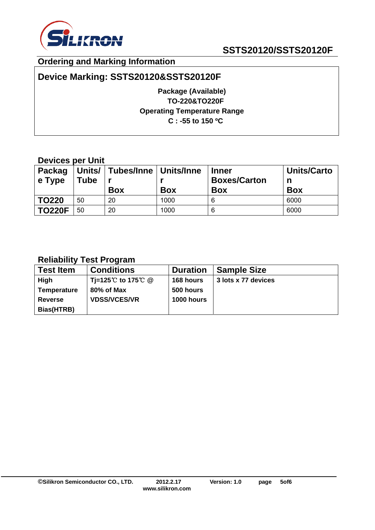

### **Ordering and Marking Information**

### **Device Marking: SSTS20120&SSTS20120F**

**Package (Available) TO-220&TO220F Operating Temperature Range C : -55 to 150 ºC** 

### **Devices per Unit**

| <b>Packag</b><br>$\vert$ e Type | <b>Tube</b> | Units/   Tubes/Inne   Units/Inne<br><b>Box</b> | <b>Box</b> | <b>Inner</b><br><b>Boxes/Carton</b><br><b>Box</b> | <b>Units/Carto</b><br>n<br><b>Box</b> |
|---------------------------------|-------------|------------------------------------------------|------------|---------------------------------------------------|---------------------------------------|
| <b>TO220</b>                    | 50          | 20                                             | 1000       |                                                   | 6000                                  |
| <b>TO220F</b>                   | 50          | 20                                             | 1000       | 6                                                 | 6000                                  |

### **Reliability Test Program**

| <b>Test Item</b>   | <b>Conditions</b>   | <b>Duration</b>   | <b>Sample Size</b>  |
|--------------------|---------------------|-------------------|---------------------|
| High               | Ti=125℃ to 175℃ @   | 168 hours         | 3 lots x 77 devices |
| <b>Temperature</b> | 80% of Max          | 500 hours         |                     |
| <b>Reverse</b>     | <b>VDSS/VCES/VR</b> | <b>1000 hours</b> |                     |
| Bias(HTRB)         |                     |                   |                     |